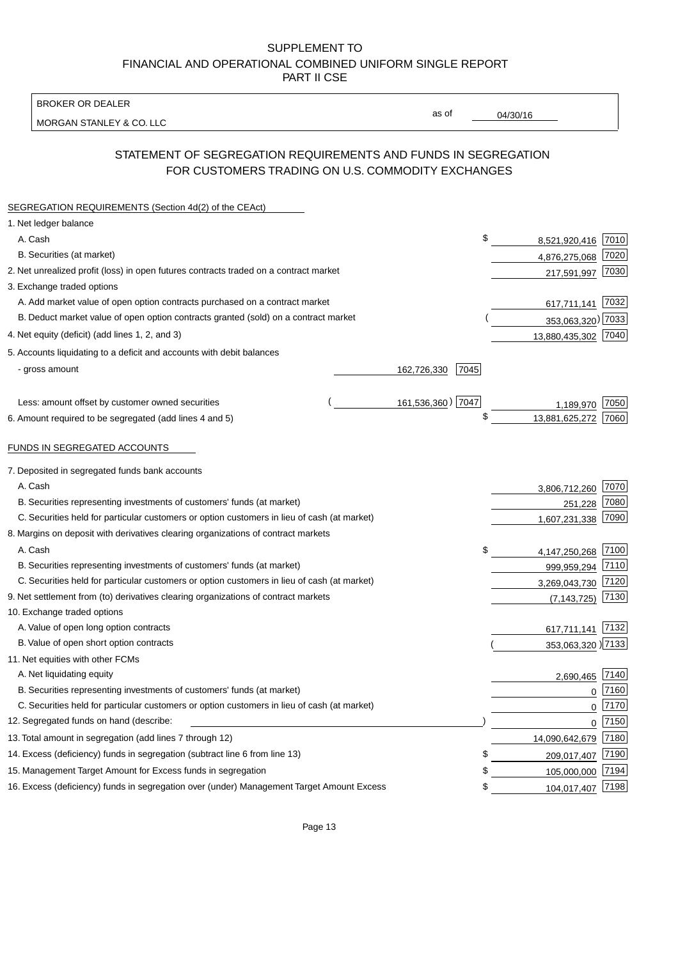BROKER OR DEALER

MORGAN STANLEY & CO. LLC

04/30/16

as of

# STATEMENT OF SEGREGATION REQUIREMENTS AND FUNDS IN SEGREGATION FOR CUSTOMERS TRADING ON U.S. COMMODITY EXCHANGES

| SEGREGATION REQUIREMENTS (Section 4d(2) of the CEAct)                                       |                     |                      |      |
|---------------------------------------------------------------------------------------------|---------------------|----------------------|------|
| 1. Net ledger balance                                                                       |                     |                      |      |
| A. Cash                                                                                     |                     | \$<br>8,521,920,416  | 7010 |
| B. Securities (at market)                                                                   |                     | 4,876,275,068        | 7020 |
| 2. Net unrealized profit (loss) in open futures contracts traded on a contract market       |                     | 217,591,997          | 7030 |
| 3. Exchange traded options                                                                  |                     |                      |      |
| A. Add market value of open option contracts purchased on a contract market                 |                     | 617,711,141          | 7032 |
| B. Deduct market value of open option contracts granted (sold) on a contract market         |                     | 353,063,320) 7033    |      |
| 4. Net equity (deficit) (add lines 1, 2, and 3)                                             |                     | 13,880,435,302 7040  |      |
| 5. Accounts liquidating to a deficit and accounts with debit balances                       |                     |                      |      |
| - gross amount                                                                              | 162,726,330<br>7045 |                      |      |
|                                                                                             |                     |                      |      |
| Less: amount offset by customer owned securities                                            | 161,536,360) 7047   | 1,189,970            | 7050 |
| 6. Amount required to be segregated (add lines 4 and 5)                                     |                     | \$<br>13,881,625,272 | 7060 |
|                                                                                             |                     |                      |      |
| FUNDS IN SEGREGATED ACCOUNTS                                                                |                     |                      |      |
| 7. Deposited in segregated funds bank accounts                                              |                     |                      |      |
| A. Cash                                                                                     |                     | 3,806,712,260        | 7070 |
| B. Securities representing investments of customers' funds (at market)                      |                     | 251,228              | 7080 |
| C. Securities held for particular customers or option customers in lieu of cash (at market) |                     | 1,607,231,338        | 7090 |
| 8. Margins on deposit with derivatives clearing organizations of contract markets           |                     |                      |      |
| A. Cash                                                                                     |                     | \$<br>4,147,250,268  | 7100 |
| B. Securities representing investments of customers' funds (at market)                      |                     | 999,959,294          | 7110 |
| C. Securities held for particular customers or option customers in lieu of cash (at market) |                     | 3,269,043,730        | 7120 |
| 9. Net settlement from (to) derivatives clearing organizations of contract markets          |                     | (7, 143, 725)        | 7130 |
| 10. Exchange traded options                                                                 |                     |                      |      |
| A. Value of open long option contracts                                                      |                     | 617,711,141          | 7132 |
| B. Value of open short option contracts                                                     |                     | 353,063,320 )7133    |      |
| 11. Net equities with other FCMs                                                            |                     |                      |      |
| A. Net liquidating equity                                                                   |                     | 2,690,465            | 7140 |
| B. Securities representing investments of customers' funds (at market)                      |                     | $\mathbf 0$          | 7160 |
| C. Securities held for particular customers or option customers in lieu of cash (at market) |                     | 0                    | 7170 |
| 12. Segregated funds on hand (describe:                                                     |                     | 0                    | 7150 |
| 13. Total amount in segregation (add lines 7 through 12)                                    |                     | 14,090,642,679       | 7180 |
| 14. Excess (deficiency) funds in segregation (subtract line 6 from line 13)                 |                     | \$<br>209,017,407    | 7190 |
| 15. Management Target Amount for Excess funds in segregation                                |                     | \$<br>105,000,000    | 7194 |
| 16. Excess (deficiency) funds in segregation over (under) Management Target Amount Excess   |                     | \$<br>104,017,407    | 7198 |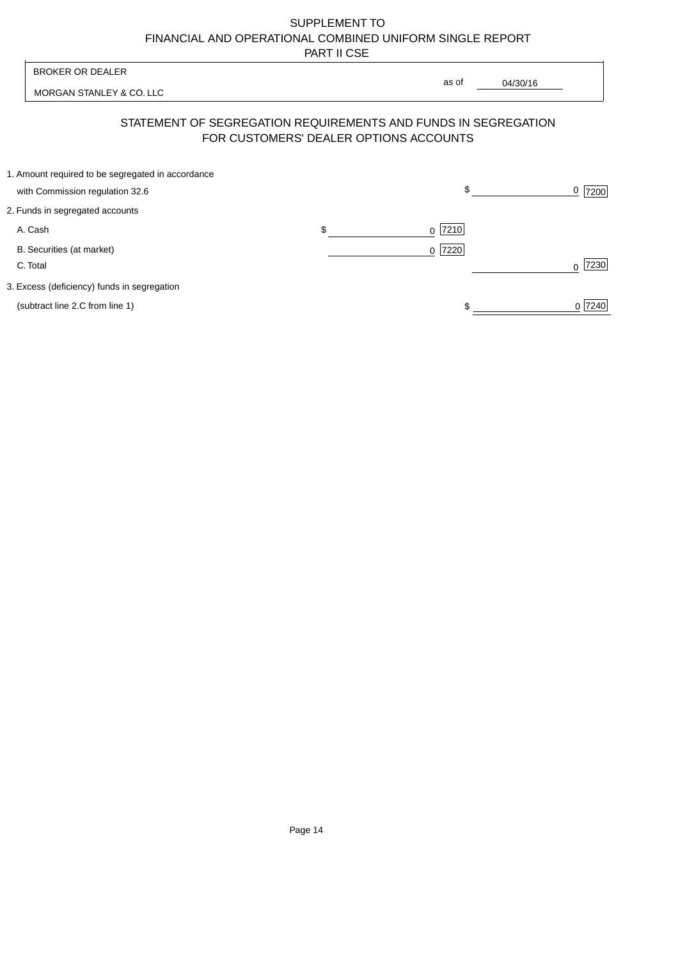| <b>BROKER OR DEALER</b>                                                                                  | as of                      |          |                  |
|----------------------------------------------------------------------------------------------------------|----------------------------|----------|------------------|
| MORGAN STANLEY & CO. LLC                                                                                 |                            | 04/30/16 |                  |
| STATEMENT OF SEGREGATION REQUIREMENTS AND FUNDS IN SEGREGATION<br>FOR CUSTOMERS' DEALER OPTIONS ACCOUNTS |                            |          |                  |
| 1. Amount required to be segregated in accordance<br>with Commission regulation 32.6                     |                            | \$       | 0<br>7200        |
| 2. Funds in segregated accounts                                                                          |                            |          |                  |
| A. Cash                                                                                                  | \$<br>7210<br><sup>0</sup> |          |                  |
| B. Securities (at market)<br>C. Total                                                                    | 0 7220                     |          | 7230<br>$\Omega$ |
| 3. Excess (deficiency) funds in segregation                                                              |                            |          |                  |
| (subtract line 2.C from line 1)                                                                          |                            |          | 0 7240           |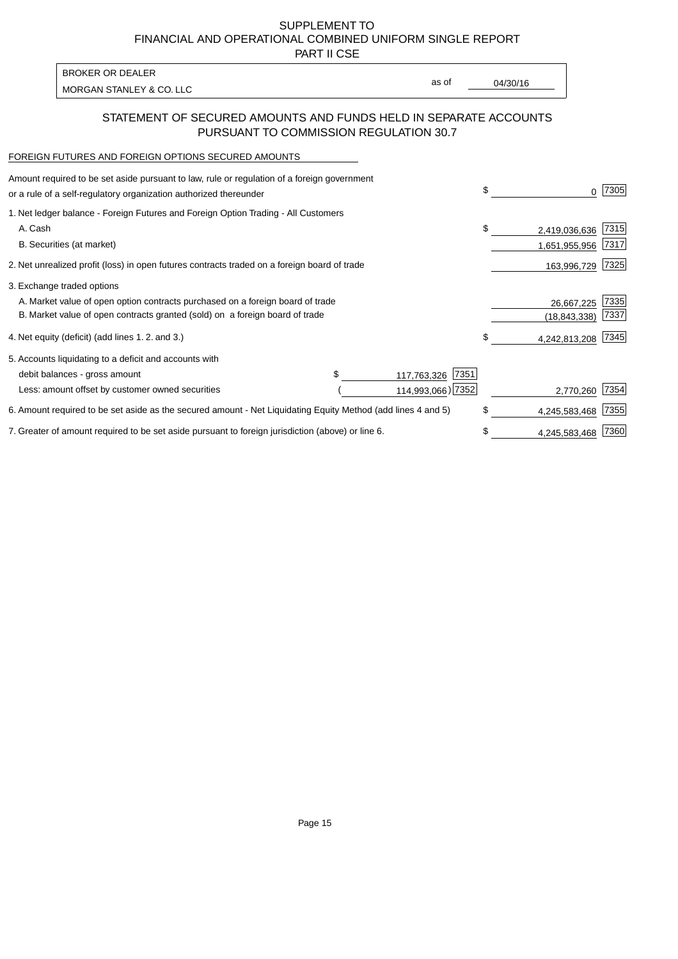PART II CSE

| BROKER OR DEALER         |       |          |
|--------------------------|-------|----------|
| MORGAN STANLEY & CO. LLC | as of | 04/30/16 |

### STATEMENT OF SECURED AMOUNTS AND FUNDS HELD IN SEPARATE ACCOUNTS PURSUANT TO COMMISSION REGULATION 30.7

#### FOREIGN FUTURES AND FOREIGN OPTIONS SECURED AMOUNTS

| Amount required to be set aside pursuant to law, rule or regulation of a foreign government<br>or a rule of a self-regulatory organization authorized thereunder |  |                     | \$ | 0             | 7305 |
|------------------------------------------------------------------------------------------------------------------------------------------------------------------|--|---------------------|----|---------------|------|
| 1. Net ledger balance - Foreign Futures and Foreign Option Trading - All Customers                                                                               |  |                     |    |               |      |
| A. Cash                                                                                                                                                          |  |                     | \$ | 2,419,036,636 | 7315 |
| B. Securities (at market)                                                                                                                                        |  |                     |    | 1,651,955,956 | 7317 |
| 2. Net unrealized profit (loss) in open futures contracts traded on a foreign board of trade                                                                     |  |                     |    | 163,996,729   | 7325 |
| 3. Exchange traded options                                                                                                                                       |  |                     |    |               |      |
| A. Market value of open option contracts purchased on a foreign board of trade                                                                                   |  |                     |    | 26,667,225    | 7335 |
| B. Market value of open contracts granted (sold) on a foreign board of trade                                                                                     |  |                     |    | (18,843,338)  | 7337 |
| 4. Net equity (deficit) (add lines 1.2. and 3.)                                                                                                                  |  |                     | \$ | 4,242,813,208 | 7345 |
| 5. Accounts liquidating to a deficit and accounts with                                                                                                           |  |                     |    |               |      |
| debit balances - gross amount                                                                                                                                    |  | 7351<br>117,763,326 |    |               |      |
| Less: amount offset by customer owned securities                                                                                                                 |  | 114,993,066) 7352   |    | 2,770,260     | 7354 |
| 6. Amount required to be set aside as the secured amount - Net Liquidating Equity Method (add lines 4 and 5)                                                     |  |                     | \$ | 4,245,583,468 | 7355 |
| 7. Greater of amount required to be set aside pursuant to foreign jurisdiction (above) or line 6.                                                                |  |                     | \$ | 4,245,583,468 | 7360 |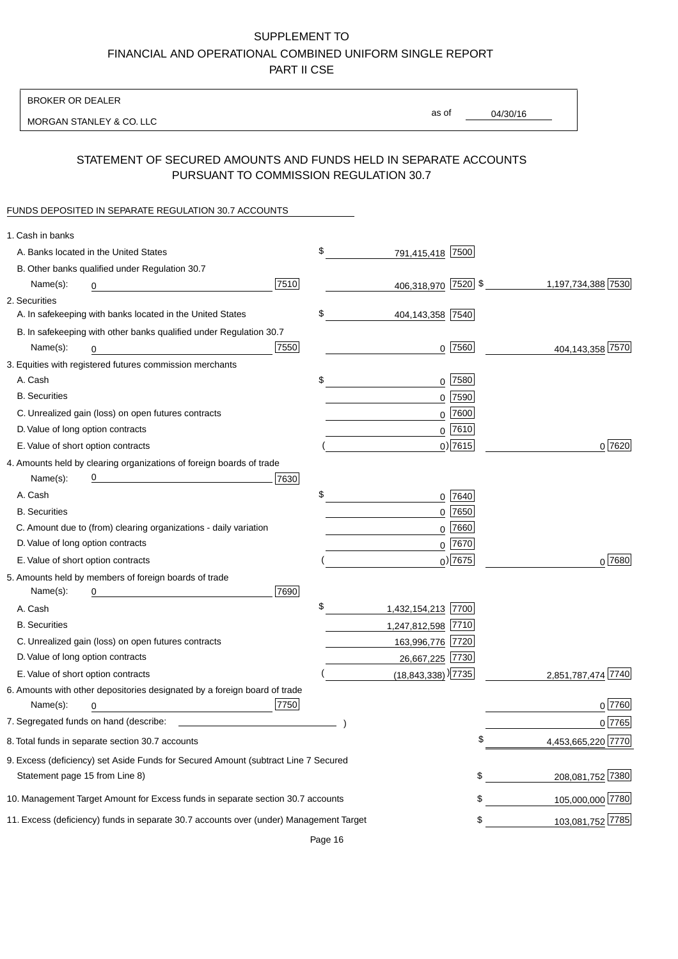BROKER OR DEALER

MORGAN STANLEY & CO. LLC

04/30/16

as of

# STATEMENT OF SECURED AMOUNTS AND FUNDS HELD IN SEPARATE ACCOUNTS PURSUANT TO COMMISSION REGULATION 30.7

### FUNDS DEPOSITED IN SEPARATE REGULATION 30.7 ACCOUNTS

| 1. Cash in banks                                                                       |      |                                  |             |                    |
|----------------------------------------------------------------------------------------|------|----------------------------------|-------------|--------------------|
| A. Banks located in the United States                                                  |      | \$<br>791,415,418 7500           |             |                    |
| B. Other banks qualified under Regulation 30.7                                         |      |                                  |             |                    |
| Name(s):<br>0                                                                          | 7510 | 406,318,970 7520 \$              |             | 1,197,734,388 7530 |
| 2. Securities                                                                          |      |                                  |             |                    |
| A. In safekeeping with banks located in the United States                              |      | \$<br>404,143,358 7540           |             |                    |
| B. In safekeeping with other banks qualified under Regulation 30.7                     |      |                                  |             |                    |
| Name(s):<br>0                                                                          | 7550 |                                  | $0$  7560   | 404,143,358 7570   |
| 3. Equities with registered futures commission merchants                               |      |                                  |             |                    |
| A. Cash                                                                                |      | \$                               | 0 7580      |                    |
| <b>B.</b> Securities                                                                   |      |                                  | $0$ 7590    |                    |
| C. Unrealized gain (loss) on open futures contracts                                    |      |                                  | $0$ 7600    |                    |
| D. Value of long option contracts                                                      |      |                                  | $0$ 7610    |                    |
| E. Value of short option contracts                                                     |      |                                  | $0)$ 7615   | 0 7620             |
| 4. Amounts held by clearing organizations of foreign boards of trade                   |      |                                  |             |                    |
| Name(s):                                                                               | 7630 |                                  |             |                    |
| A. Cash                                                                                |      | \$                               | 0 7640      |                    |
| <b>B.</b> Securities                                                                   |      |                                  | $0$ 7650    |                    |
| C. Amount due to (from) clearing organizations - daily variation                       |      |                                  | $0$ 7660    |                    |
| D. Value of long option contracts                                                      |      |                                  | 0 7670      |                    |
| E. Value of short option contracts                                                     |      |                                  | $_0$ ) 7675 | 0 7680             |
| 5. Amounts held by members of foreign boards of trade                                  |      |                                  |             |                    |
| Name(s):<br>0                                                                          | 7690 |                                  |             |                    |
| A. Cash                                                                                |      | \$<br>1,432,154,213 7700         |             |                    |
| <b>B.</b> Securities                                                                   |      | 1,247,812,598 7710               |             |                    |
| C. Unrealized gain (loss) on open futures contracts                                    |      | 163,996,776 7720                 |             |                    |
| D. Value of long option contracts                                                      |      | 26,667,225 7730                  |             |                    |
| E. Value of short option contracts                                                     |      | $(18,843,338)$ <sup>)</sup> 7735 |             | 2,851,787,474 7740 |
| 6. Amounts with other depositories designated by a foreign board of trade              |      |                                  |             |                    |
| Name(s):<br>0                                                                          | 7750 |                                  |             | 0 7760             |
|                                                                                        |      |                                  |             | 0 7765             |
| 8. Total funds in separate section 30.7 accounts                                       |      |                                  |             | 4,453,665,220 7770 |
| 9. Excess (deficiency) set Aside Funds for Secured Amount (subtract Line 7 Secured     |      |                                  |             |                    |
| Statement page 15 from Line 8)                                                         |      |                                  | \$          | 208,081,752 7380   |
| 10. Management Target Amount for Excess funds in separate section 30.7 accounts        |      |                                  | \$          | 105,000,000 7780   |
| 11. Excess (deficiency) funds in separate 30.7 accounts over (under) Management Target |      |                                  | \$          | 103,081,752 7785   |